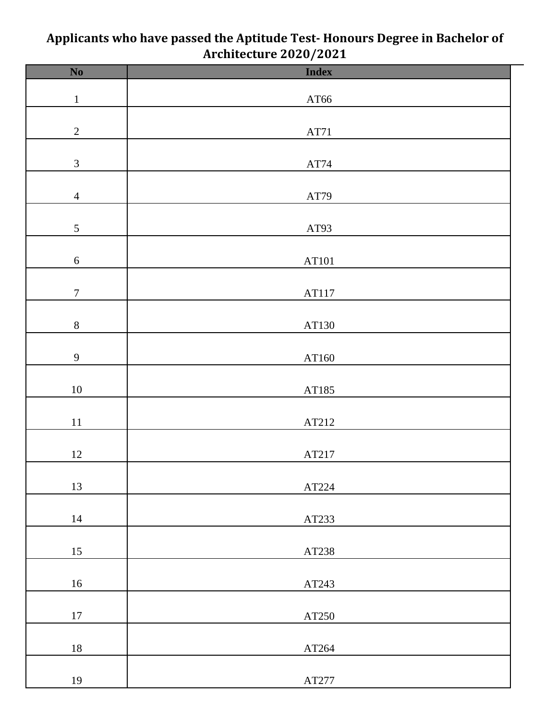| $\overline{\text{No}}$ | $\mathbf{z}$<br><b>Index</b> |
|------------------------|------------------------------|
| $\,1$                  | $\rm AT66$                   |
| $\sqrt{2}$             | AT71                         |
| $\mathfrak{Z}$         | $\operatorname{AT74}$        |
| $\overline{4}$         | $\operatorname{AT79}$        |
| $\mathfrak{S}$         | AT93                         |
| $\sqrt{6}$             | AT101                        |
| $\boldsymbol{7}$       | AT117                        |
| $8\,$                  | AT130                        |
| $\overline{9}$         | AT160                        |
| $10\,$                 | AT185                        |
| $11\,$                 | AT212                        |
| $12\,$                 | AT217                        |
| 13                     | $\operatorname{AT224}$       |
| $14\,$                 | AT233                        |
| $15\,$                 | AT238                        |
| $16\,$                 | AT243                        |
| $17\,$                 | AT250                        |
| $18\,$                 | AT264                        |
| 19                     | $\operatorname{AT277}$       |
|                        |                              |

## **Applicants who have passed the Aptitude Test- Honours Degree in Bachelor of Architecture 2020/2021**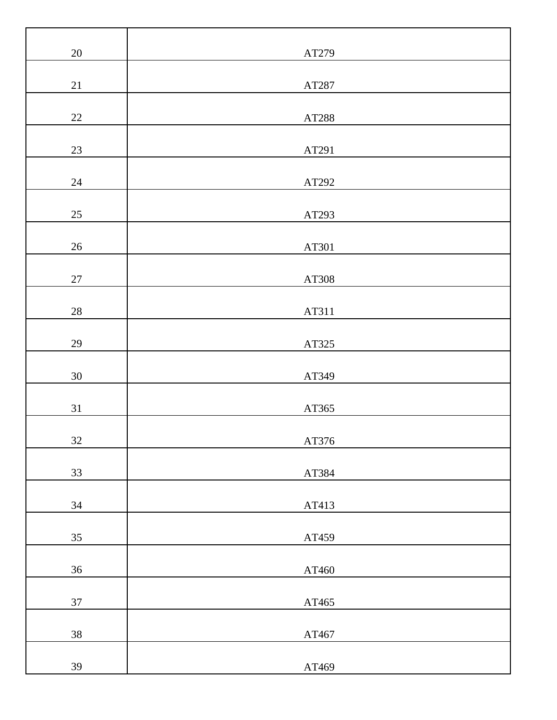| $20\,$ | AT279 |
|--------|-------|
| $21\,$ | AT287 |
| $22\,$ | AT288 |
| 23     | AT291 |
| $24\,$ | AT292 |
| $25\,$ | AT293 |
| $26\,$ | AT301 |
| $27\,$ | AT308 |
| $28\,$ | AT311 |
| 29     | AT325 |
| $30\,$ | AT349 |
| $31\,$ | AT365 |
| $32\,$ | AT376 |
| 33     | AT384 |
| $34\,$ | AT413 |
| 35     | AT459 |
| $36\,$ | AT460 |
| 37     | AT465 |
| $38\,$ | AT467 |
| 39     | AT469 |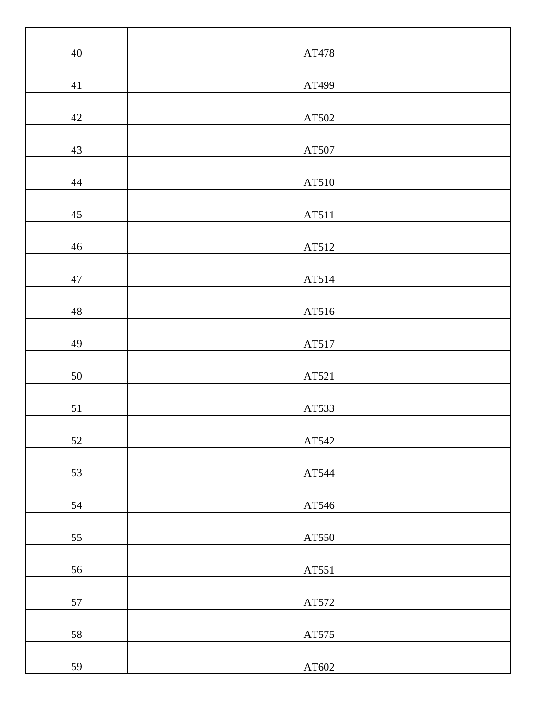| 40          | AT478                  |
|-------------|------------------------|
| $41\,$      | AT499                  |
| $42\,$      | AT502                  |
| $43\,$      | AT507                  |
| 44          | AT510                  |
| 45          | AT511                  |
| $46\,$      | AT512                  |
| $47\,$      | AT514                  |
| $\sqrt{48}$ | AT516                  |
| 49          | AT517                  |
| 50          | AT521                  |
| 51          | AT533                  |
| 52          | AT542                  |
| 53          | AT544                  |
| 54          | AT546                  |
| 55          | AT550                  |
| 56          | AT551                  |
| 57          | AT572                  |
| 58          | $\operatorname{AT575}$ |
| 59          | $\rm AT602$            |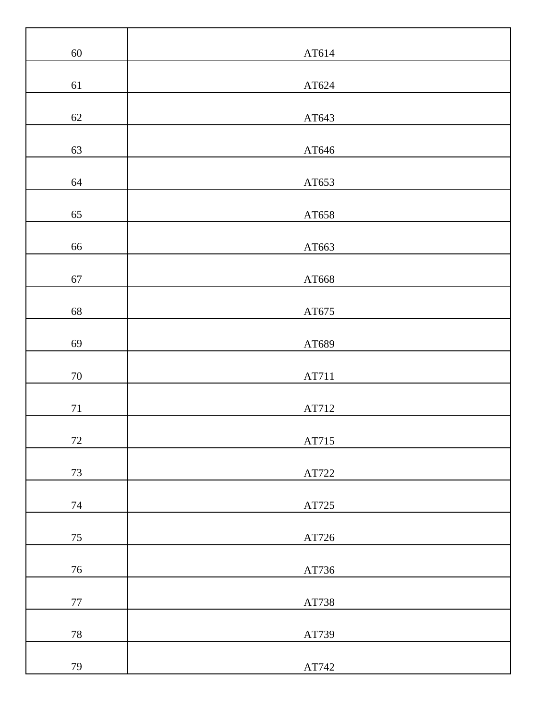| $60\,$ |                        |
|--------|------------------------|
|        | AT614                  |
| 61     | $\rm AT624$            |
| 62     | AT643                  |
| 63     | $\rm AT646$            |
| 64     | AT653                  |
|        |                        |
| 65     | AT658                  |
| 66     | AT663                  |
| 67     | $\rm AT668$            |
| 68     | AT675                  |
| 69     | AT689                  |
| $70\,$ | AT711                  |
| $71\,$ | AT712                  |
| $72\,$ | AT715                  |
| 73     | $\operatorname{AT722}$ |
| $74\,$ | $\operatorname{AT725}$ |
| 75     | $\operatorname{AT726}$ |
|        |                        |
| $76\,$ | $\operatorname{AT736}$ |
| $77\,$ | AT738                  |
| $78\,$ | AT739                  |
| 79     | $\operatorname{AT742}$ |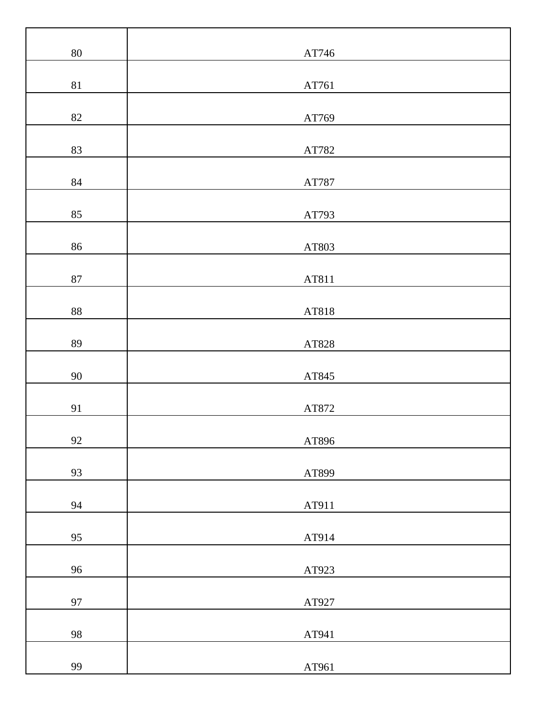| $80\,$       | $\operatorname{AT746}$          |
|--------------|---------------------------------|
| $81\,$       | AT761                           |
| 82           | AT769                           |
| 83           | AT782                           |
| $84\,$       | $\operatorname{AT787}$          |
| 85           | AT793                           |
| 86           | AT803                           |
| $87\,$       | AT811                           |
| $88\,$       | AT818                           |
| 89           |                                 |
| $90\,$       | AT828                           |
|              | $\operatorname{AT845}$          |
| 91<br>$92\,$ | $\operatorname{AT872}$<br>AT896 |
|              |                                 |
| 93           | AT899                           |
| 94           | AT911                           |
| 95           | AT914                           |
| 96           | AT923                           |
| 97           | AT927                           |
| 98           | AT941                           |
| 99           | AT961                           |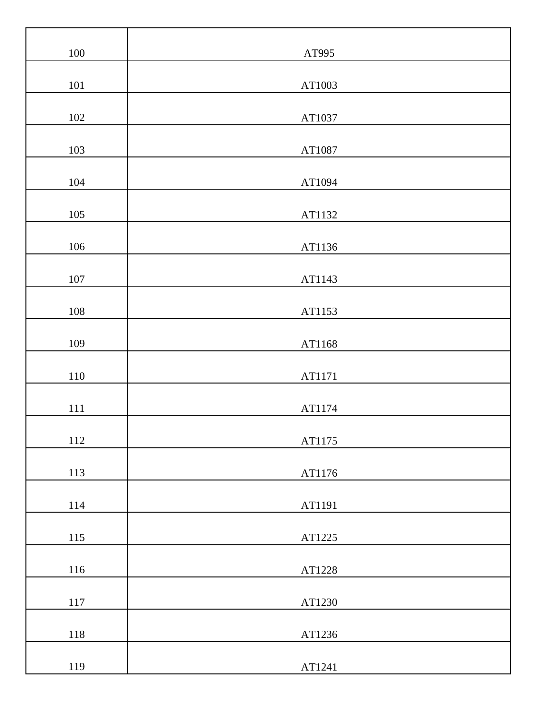| $100\,$ | AT995  |
|---------|--------|
|         |        |
| $101\,$ | AT1003 |
| $102\,$ | AT1037 |
| 103     | AT1087 |
| 104     | AT1094 |
| 105     | AT1132 |
| $106\,$ | AT1136 |
| $107\,$ | AT1143 |
| $108\,$ | AT1153 |
| 109     | AT1168 |
| $110\,$ | AT1171 |
| $111\,$ | AT1174 |
| 112     | AT1175 |
| 113     | AT1176 |
| 114     | AT1191 |
| $115\,$ | AT1225 |
| 116     | AT1228 |
| $117\,$ | AT1230 |
| $118\,$ | AT1236 |
| 119     | AT1241 |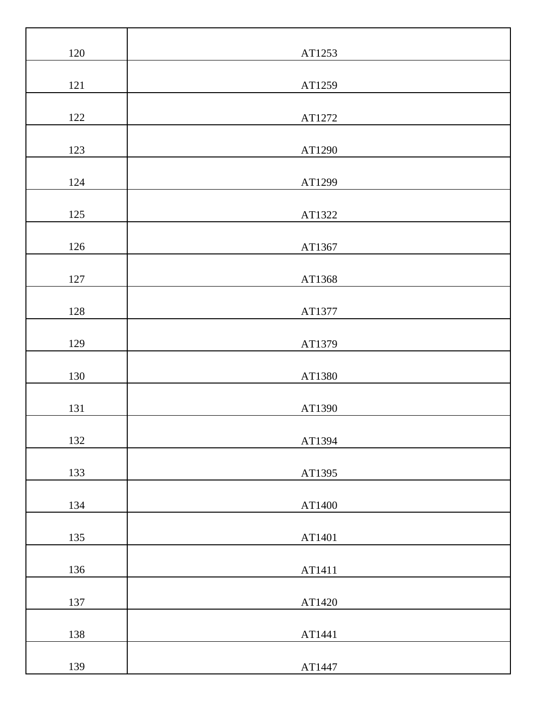| $120\,$ | AT1253 |
|---------|--------|
|         |        |
| 121     | AT1259 |
| 122     | AT1272 |
| 123     | AT1290 |
| 124     | AT1299 |
| 125     | AT1322 |
| 126     | AT1367 |
| 127     | AT1368 |
| 128     | AT1377 |
| 129     | AT1379 |
| 130     | AT1380 |
| 131     | AT1390 |
| 132     | AT1394 |
| 133     | AT1395 |
| 134     | AT1400 |
| 135     | AT1401 |
| 136     | AT1411 |
| 137     | AT1420 |
| 138     | AT1441 |
| 139     | AT1447 |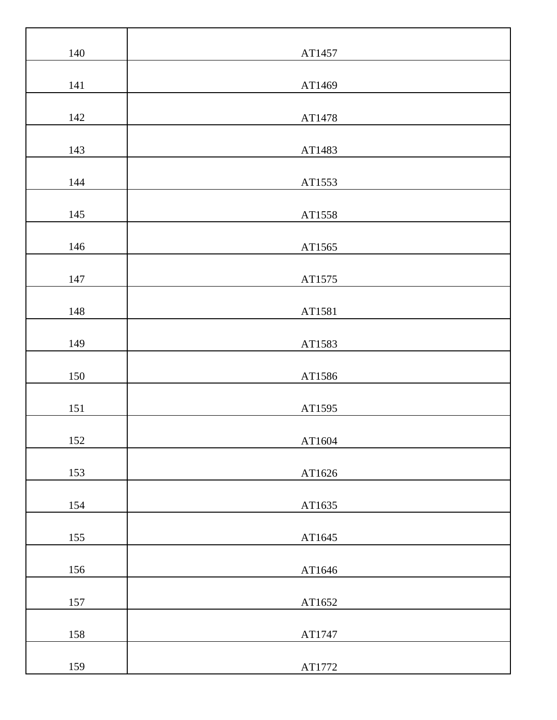| 140 | AT1457 |
|-----|--------|
|     |        |
| 141 | AT1469 |
| 142 | AT1478 |
|     |        |
| 143 | AT1483 |
| 144 | AT1553 |
| 145 | AT1558 |
| 146 | AT1565 |
| 147 | AT1575 |
| 148 | AT1581 |
| 149 | AT1583 |
| 150 | AT1586 |
| 151 | AT1595 |
| 152 | AT1604 |
| 153 | AT1626 |
| 154 | AT1635 |
| 155 | AT1645 |
| 156 | AT1646 |
| 157 | AT1652 |
| 158 | AT1747 |
| 159 | AT1772 |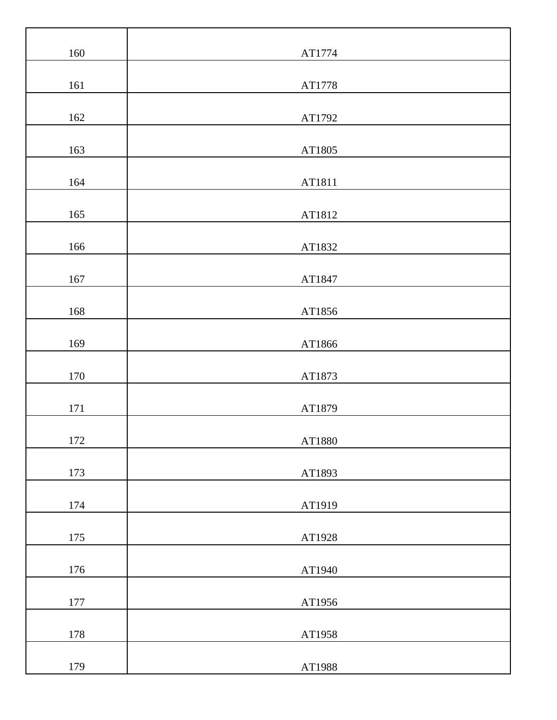| 160     | AT1774 |
|---------|--------|
| 161     | AT1778 |
| 162     | AT1792 |
|         |        |
| 163     | AT1805 |
| 164     | AT1811 |
| 165     | AT1812 |
| 166     | AT1832 |
| 167     | AT1847 |
| 168     | AT1856 |
| 169     | AT1866 |
| 170     | AT1873 |
| 171     | AT1879 |
|         |        |
| 172     | AT1880 |
| 173     | AT1893 |
| 174     | AT1919 |
| 175     | AT1928 |
| 176     | AT1940 |
| $177\,$ | AT1956 |
| 178     | AT1958 |
| 179     | AT1988 |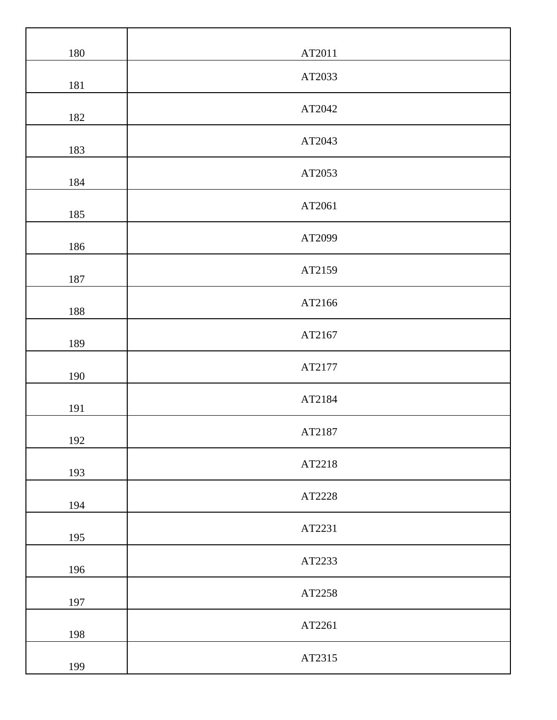| $180\,$ | AT2011 |
|---------|--------|
| 181     | AT2033 |
| 182     | AT2042 |
| 183     | AT2043 |
| 184     | AT2053 |
| 185     | AT2061 |
| 186     | AT2099 |
| 187     | AT2159 |
| 188     | AT2166 |
| 189     | AT2167 |
| 190     | AT2177 |
| 191     | AT2184 |
| 192     | AT2187 |
| 193     | AT2218 |
| 194     | AT2228 |
| 195     | AT2231 |
| 196     | AT2233 |
| 197     | AT2258 |
| 198     | AT2261 |
| 199     | AT2315 |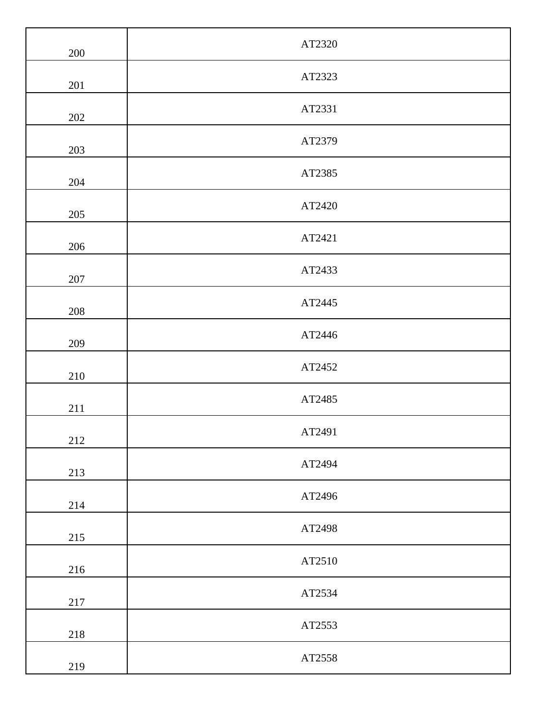| 200     | AT2320 |
|---------|--------|
| $201\,$ | AT2323 |
| 202     | AT2331 |
| 203     | AT2379 |
| 204     | AT2385 |
| 205     | AT2420 |
| 206     | AT2421 |
| 207     | AT2433 |
| 208     | AT2445 |
| 209     | AT2446 |
| 210     | AT2452 |
| 211     | AT2485 |
| 212     | AT2491 |
| 213     | AT2494 |
| 214     | AT2496 |
| 215     | AT2498 |
| 216     | AT2510 |
| 217     | AT2534 |
| 218     | AT2553 |
| 219     | AT2558 |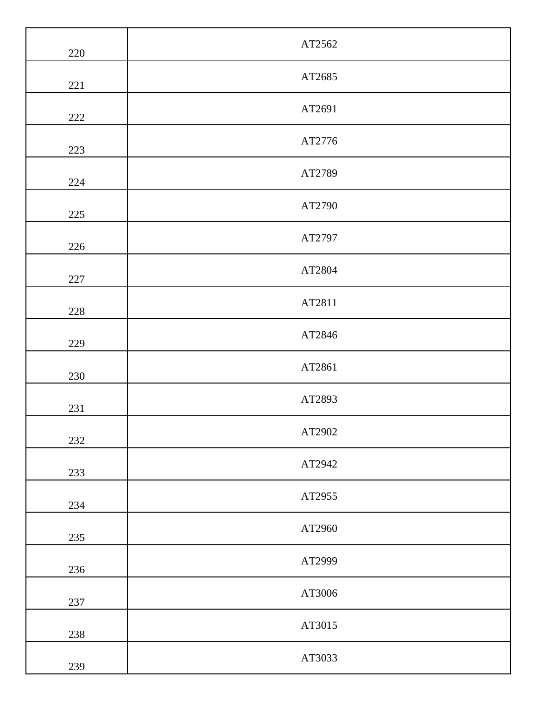| 220 | AT2562 |
|-----|--------|
| 221 | AT2685 |
| 222 | AT2691 |
| 223 | AT2776 |
| 224 | AT2789 |
| 225 | AT2790 |
| 226 | AT2797 |
| 227 | AT2804 |
| 228 | AT2811 |
| 229 | AT2846 |
| 230 | AT2861 |
| 231 | AT2893 |
| 232 | AT2902 |
| 233 | AT2942 |
| 234 | AT2955 |
| 235 | AT2960 |
| 236 | AT2999 |
| 237 | AT3006 |
| 238 | AT3015 |
| 239 | AT3033 |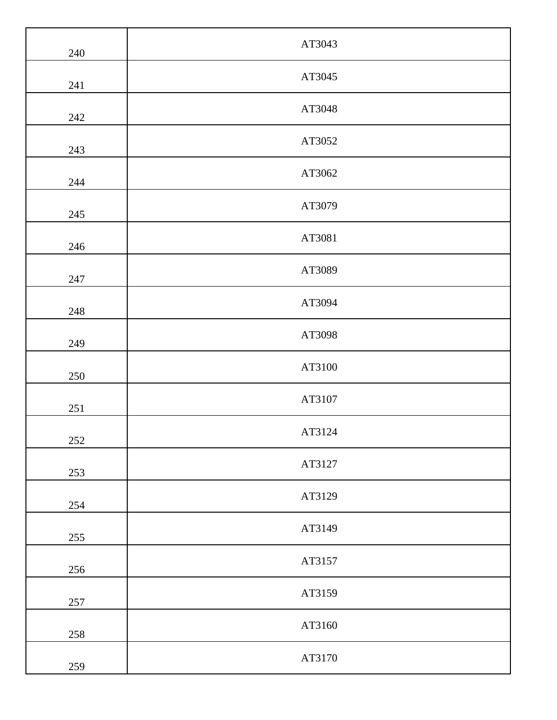| 240     | AT3043 |
|---------|--------|
| 241     | AT3045 |
| 242     | AT3048 |
| 243     | AT3052 |
| 244     | AT3062 |
| 245     | AT3079 |
| 246     | AT3081 |
| 247     | AT3089 |
| 248     | AT3094 |
| 249     | AT3098 |
| 250     | AT3100 |
| 251     | AT3107 |
| $252\,$ | AT3124 |
| 253     | AT3127 |
| 254     | AT3129 |
| 255     | AT3149 |
| 256     | AT3157 |
| 257     | AT3159 |
| 258     | AT3160 |
| 259     | AT3170 |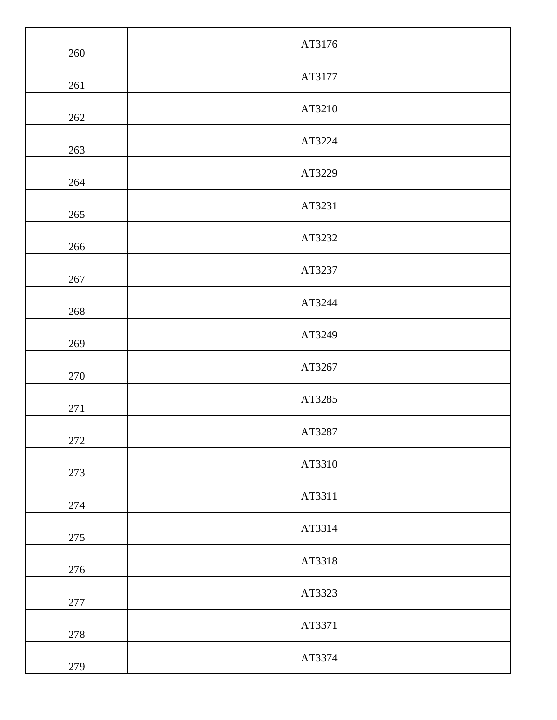| 260     | AT3176 |
|---------|--------|
| 261     | AT3177 |
| 262     | AT3210 |
| 263     | AT3224 |
| 264     | AT3229 |
| 265     | AT3231 |
| 266     | AT3232 |
| 267     | AT3237 |
| 268     | AT3244 |
| 269     | AT3249 |
| 270     | AT3267 |
| $271\,$ | AT3285 |
| 272     | AT3287 |
| 273     | AT3310 |
| 274     | AT3311 |
| 275     | AT3314 |
| 276     | AT3318 |
| 277     | AT3323 |
| 278     | AT3371 |
| 279     | AT3374 |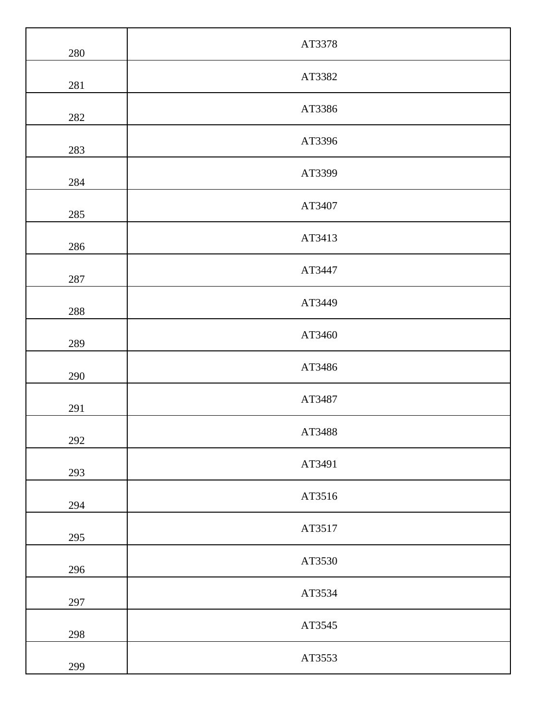| 280 | AT3378 |
|-----|--------|
| 281 | AT3382 |
| 282 | AT3386 |
| 283 | AT3396 |
| 284 | AT3399 |
| 285 | AT3407 |
| 286 | AT3413 |
| 287 | AT3447 |
| 288 | AT3449 |
| 289 | AT3460 |
| 290 | AT3486 |
| 291 | AT3487 |
| 292 | AT3488 |
| 293 | AT3491 |
| 294 | AT3516 |
| 295 | AT3517 |
| 296 | AT3530 |
| 297 | AT3534 |
| 298 | AT3545 |
| 299 | AT3553 |